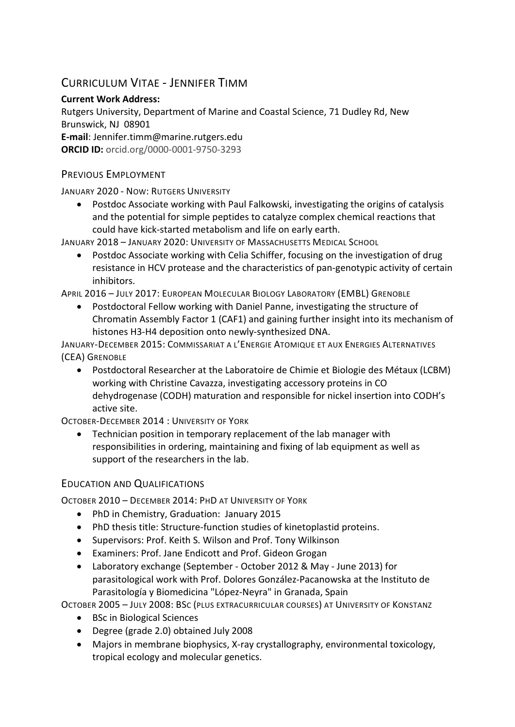# CURRICULUM VITAE - JENNIFER TIMM

### **Current Work Address:**

Rutgers University, Department of Marine and Coastal Science, 71 Dudley Rd, New Brunswick, NJ 08901

**E-mail**: Jennifer.timm@marine.rutgers.edu

**ORCID ID:** orcid.org/0000-0001-9750-3293

### PREVIOUS EMPLOYMENT

JANUARY 2020 - NOW: RUTGERS UNIVERSITY

• Postdoc Associate working with Paul Falkowski, investigating the origins of catalysis and the potential for simple peptides to catalyze complex chemical reactions that could have kick-started metabolism and life on early earth.

JANUARY 2018 – JANUARY 2020: UNIVERSITY OF MASSACHUSETTS MEDICAL SCHOOL

• Postdoc Associate working with Celia Schiffer, focusing on the investigation of drug resistance in HCV protease and the characteristics of pan-genotypic activity of certain inhibitors.

APRIL 2016 – JULY 2017: EUROPEAN MOLECULAR BIOLOGY LABORATORY (EMBL) GRENOBLE

• Postdoctoral Fellow working with Daniel Panne, investigating the structure of Chromatin Assembly Factor 1 (CAF1) and gaining further insight into its mechanism of histones H3-H4 deposition onto newly-synthesized DNA.

JANUARY-DECEMBER 2015: COMMISSARIAT A L'ENERGIE ATOMIQUE ET AUX ENERGIES ALTERNATIVES (CEA) GRENOBLE

• Postdoctoral Researcher at the Laboratoire de Chimie et Biologie des Métaux (LCBM) working with Christine Cavazza, investigating accessory proteins in CO dehydrogenase (CODH) maturation and responsible for nickel insertion into CODH's active site.

OCTOBER-DECEMBER 2014 : UNIVERSITY OF YORK

• Technician position in temporary replacement of the lab manager with responsibilities in ordering, maintaining and fixing of lab equipment as well as support of the researchers in the lab.

## EDUCATION AND QUALIFICATIONS

OCTOBER 2010 – DECEMBER 2014: PHD AT UNIVERSITY OF YORK

- PhD in Chemistry, Graduation: January 2015
- PhD thesis title: Structure-function studies of kinetoplastid proteins.
- Supervisors: Prof. Keith S. Wilson and Prof. Tony Wilkinson
- Examiners: Prof. Jane Endicott and Prof. Gideon Grogan
- Laboratory exchange (September October 2012 & May June 2013) for parasitological work with Prof. Dolores González-Pacanowska at the Instituto de Parasitología y Biomedicina "López-Neyra" in Granada, Spain

OCTOBER 2005 – JULY 2008: BSC (PLUS EXTRACURRICULAR COURSES) AT UNIVERSITY OF KONSTANZ

- BSc in Biological Sciences
- Degree (grade 2.0) obtained July 2008
- Majors in membrane biophysics, X-ray crystallography, environmental toxicology, tropical ecology and molecular genetics.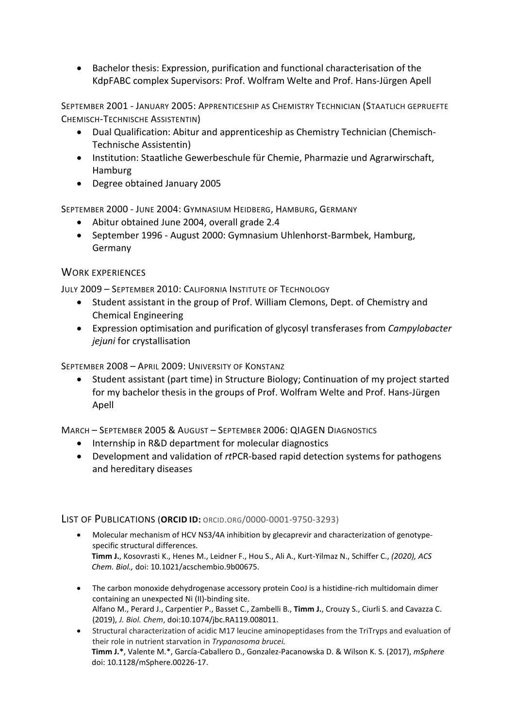• Bachelor thesis: Expression, purification and functional characterisation of the KdpFABC complex Supervisors: Prof. Wolfram Welte and Prof. Hans-Jürgen Apell

SEPTEMBER 2001 - JANUARY 2005: APPRENTICESHIP AS CHEMISTRY TECHNICIAN (STAATLICH GEPRUEFTE CHEMISCH-TECHNISCHE ASSISTENTIN)

- Dual Qualification: Abitur and apprenticeship as Chemistry Technician (Chemisch-Technische Assistentin)
- Institution: Staatliche Gewerbeschule für Chemie, Pharmazie und Agrarwirschaft, Hamburg
- Degree obtained January 2005

SEPTEMBER 2000 - JUNE 2004: GYMNASIUM HEIDBERG, HAMBURG, GERMANY

- Abitur obtained June 2004, overall grade 2.4
- September 1996 August 2000: Gymnasium Uhlenhorst-Barmbek, Hamburg, Germany

#### WORK EXPERIENCES

JULY 2009 – SEPTEMBER 2010: CALIFORNIA INSTITUTE OF TECHNOLOGY

- Student assistant in the group of Prof. William Clemons, Dept. of Chemistry and Chemical Engineering
- Expression optimisation and purification of glycosyl transferases from *Campylobacter jejuni* for crystallisation

SEPTEMBER 2008 – APRIL 2009: UNIVERSITY OF KONSTANZ

• Student assistant (part time) in Structure Biology; Continuation of my project started for my bachelor thesis in the groups of Prof. Wolfram Welte and Prof. Hans-Jürgen Apell

MARCH – SEPTEMBER 2005 & AUGUST – SEPTEMBER 2006: QIAGEN DIAGNOSTICS

- Internship in R&D department for molecular diagnostics
- Development and validation of *rt*PCR-based rapid detection systems for pathogens and hereditary diseases

#### LIST OF PUBLICATIONS (**ORCID ID:** ORCID.ORG/0000-0001-9750-3293)

- Molecular mechanism of HCV NS3/4A inhibition by glecaprevir and characterization of genotypespecific structural differences. **Timm J.**, Kosovrasti K., Henes M., Leidner F., Hou S., Ali A., Kurt-Yilmaz N., Schiffer C., *(2020), ACS Chem. Biol.,* doi: 10.1021/acschembio.9b00675.
- The carbon monoxide dehydrogenase accessory protein CooJ is a histidine-rich multidomain dimer containing an unexpected Ni (II)-binding site. Alfano M., Perard J., Carpentier P., Basset C., Zambelli B., **Timm J.**, Crouzy S., Ciurli S. and Cavazza C. (2019), *J. Biol. Chem*, doi:10.1074/jbc.RA119.008011.
- Structural characterization of acidic M17 leucine aminopeptidases from the TriTryps and evaluation of their role in nutrient starvation in *Trypanosoma brucei.* **Timm J.\***, Valente M.\*, García-Caballero D., Gonzalez-Pacanowska D. & Wilson K. S. (2017), *mSphere*  doi: 10.1128/mSphere.00226-17.